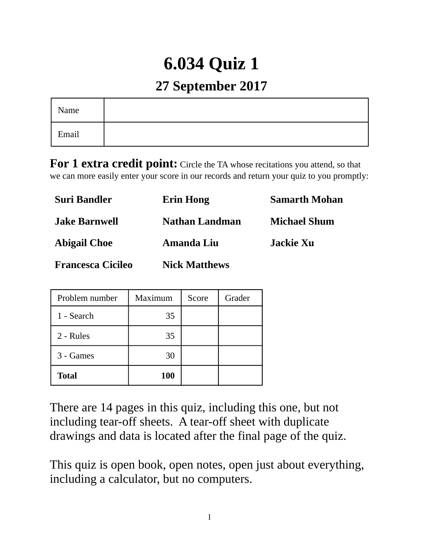# **6.034 Quiz 1**

## **27 September 2017**

| Name  |  |
|-------|--|
| Email |  |

**For 1 extra credit point:** Circle the TA whose recitations you attend, so that we can more easily enter your score in our records and return your quiz to you promptly:

| <b>Suri Bandler</b>      | <b>Erin Hong</b>      | <b>Samarth Mohan</b> |
|--------------------------|-----------------------|----------------------|
| <b>Jake Barnwell</b>     | <b>Nathan Landman</b> | <b>Michael Shum</b>  |
| <b>Abigail Choe</b>      | Amanda Liu            | Jackie Xu            |
| <b>Francesca Cicileo</b> | <b>Nick Matthews</b>  |                      |

| Problem number | Maximum | Score | Grader |
|----------------|---------|-------|--------|
| 1 - Search     | 35      |       |        |
| 2 - Rules      | 35      |       |        |
| 3 - Games      | 30      |       |        |
| <b>Total</b>   | 100     |       |        |

There are 14 pages in this quiz, including this one, but not including tear-off sheets. A tear-off sheet with duplicate drawings and data is located after the final page of the quiz.

This quiz is open book, open notes, open just about everything, including a calculator, but no computers.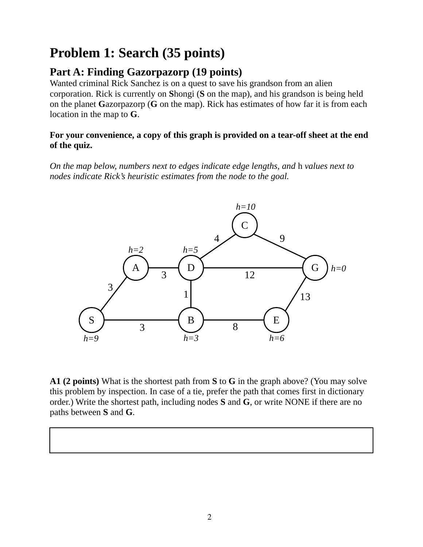## **Problem 1: Search (35 points)**

## **Part A: Finding Gazorpazorp (19 points)**

Wanted criminal Rick Sanchez is on a quest to save his grandson from an alien corporation. Rick is currently on **S**hongi (**S** on the map), and his grandson is being held on the planet **G**azorpazorp (**G** on the map). Rick has estimates of how far it is from each location in the map to **G**.

#### **For your convenience, a copy of this graph is provided on a tear-off sheet at the end of the quiz.**

*On the map below, numbers next to edges indicate edge lengths, and* h *values next to nodes indicate Rick's heuristic estimates from the node to the goal.*



**A1 (2 points)** What is the shortest path from **S** to **G** in the graph above? (You may solve this problem by inspection. In case of a tie, prefer the path that comes first in dictionary order.) Write the shortest path, including nodes **S** and **G**, or write NONE if there are no paths between **S** and **G**.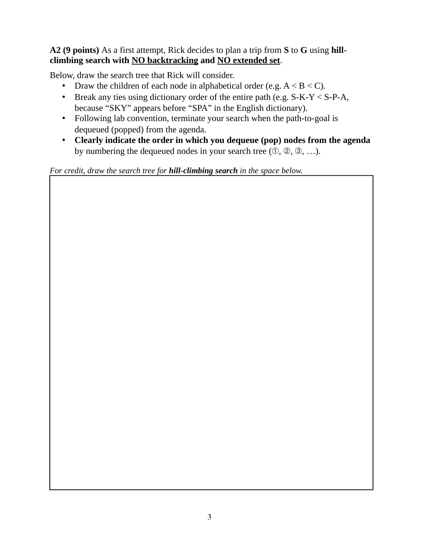### **A2 (9 points)** As a first attempt, Rick decides to plan a trip from **S** to **G** using **hillclimbing search with NO backtracking and NO extended set**.

Below, draw the search tree that Rick will consider.

- Draw the children of each node in alphabetical order (e.g.  $A < B < C$ ).
- Break any ties using dictionary order of the entire path (e.g.  $S-K-Y < S-P-A$ , because "SKY" appears before "SPA" in the English dictionary).
- Following lab convention, terminate your search when the path-to-goal is dequeued (popped) from the agenda.
- **Clearly indicate the order in which you dequeue (pop) nodes from the agenda** by numbering the dequeued nodes in your search tree  $(0, 2, 3, \ldots)$ .

*For credit, draw the search tree for hill-climbing search in the space below.*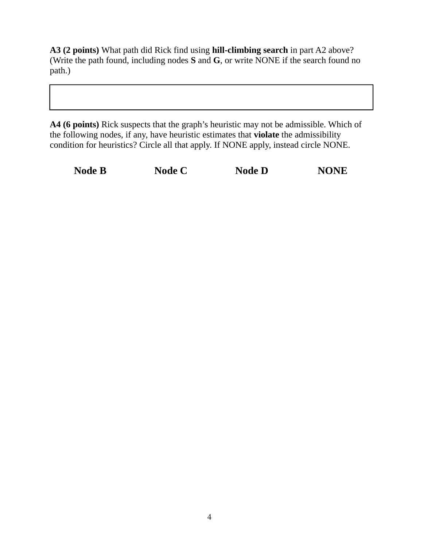**A3 (2 points)** What path did Rick find using **hill-climbing search** in part A2 above? (Write the path found, including nodes **S** and **G**, or write NONE if the search found no path.)

**A4 (6 points)** Rick suspects that the graph's heuristic may not be admissible. Which of the following nodes, if any, have heuristic estimates that **violate** the admissibility condition for heuristics? Circle all that apply. If NONE apply, instead circle NONE.

| <b>Node B</b> | Node C | <b>Node D</b> | <b>NONE</b> |
|---------------|--------|---------------|-------------|
|               |        |               |             |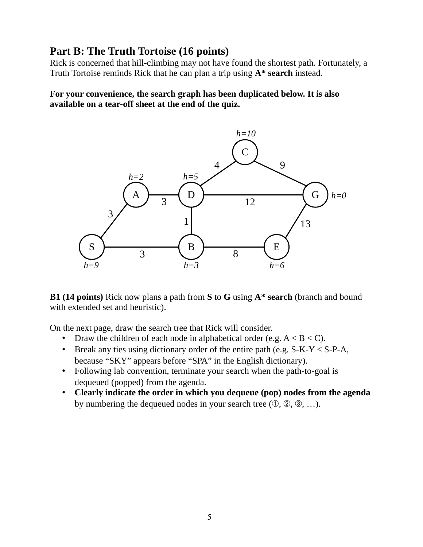## **Part B: The Truth Tortoise (16 points)**

Rick is concerned that hill-climbing may not have found the shortest path. Fortunately, a Truth Tortoise reminds Rick that he can plan a trip using **A\* search** instead.

**For your convenience, the search graph has been duplicated below. It is also available on a tear-off sheet at the end of the quiz.**



**B1 (14 points)** Rick now plans a path from **S** to **G** using **A\* search** (branch and bound with extended set and heuristic).

On the next page, draw the search tree that Rick will consider.

- Draw the children of each node in alphabetical order (e.g.  $A \leq B \leq C$ ).
- Break any ties using dictionary order of the entire path (e.g.  $S-K-Y < S-P-A$ , because "SKY" appears before "SPA" in the English dictionary).
- Following lab convention, terminate your search when the path-to-goal is dequeued (popped) from the agenda.
- **Clearly indicate the order in which you dequeue (pop) nodes from the agenda** by numbering the dequeued nodes in your search tree  $(0, 2, 3, \ldots)$ .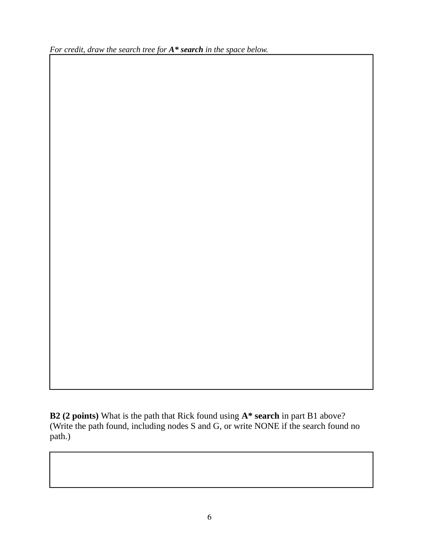*For credit, draw the search tree for A\* search in the space below.*

**B2 (2 points)** What is the path that Rick found using **A\* search** in part B1 above? (Write the path found, including nodes S and G, or write NONE if the search found no path.)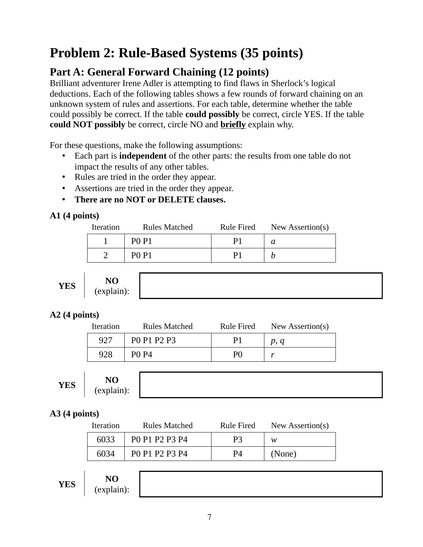## **Problem 2: Rule-Based Systems (35 points)**

## **Part A: General Forward Chaining (12 points)**

Brilliant adventurer Irene Adler is attempting to find flaws in Sherlock's logical deductions. Each of the following tables shows a few rounds of forward chaining on an unknown system of rules and assertions. For each table, determine whether the table could possibly be correct. If the table **could possibly** be correct, circle YES. If the table **could NOT possibly** be correct, circle NO and **briefly** explain why.

For these questions, make the following assumptions:

- Each part is **independent** of the other parts: the results from one table do not impact the results of any other tables.
- Rules are tried in the order they appear.
- Assertions are tried in the order they appear.
- **There are no NOT or DELETE clauses.**

### **A1 (4 points)**

| <b>Iteration</b> | <b>Rules Matched</b>          | Rule Fired | New Assertion(s) |
|------------------|-------------------------------|------------|------------------|
|                  | P <sub>0</sub> P <sub>1</sub> |            |                  |
|                  | <b>PO P1</b>                  |            |                  |

$$
\mathbf{YES}
$$

| YES |
|-----|
|-----|

## **A2 (4 points)**

| <b>Iteration</b> | <b>Rules Matched</b> | <b>Rule Fired</b> | New Assertion(s) |
|------------------|----------------------|-------------------|------------------|
| 927              | PO P1 P2 P3          |                   | p, q             |
| 928              | PO P4                | PΛ                |                  |

| $\overline{r}$ $\overline{r}$ $\overline{r}$ $\overline{r}$<br>YES | N <sub>O</sub><br>$\sim$<br>$\epsilon$ Apiani |
|--------------------------------------------------------------------|-----------------------------------------------|
|--------------------------------------------------------------------|-----------------------------------------------|

## **A3 (4 points)**

| Iteration | Rules Matched  | Rule Fired | New Assertion(s) |
|-----------|----------------|------------|------------------|
| 6033      | PO P1 P2 P3 P4 |            | w                |
| 6034      | PO P1 P2 P3 P4 | P4         | (None)           |

|--|--|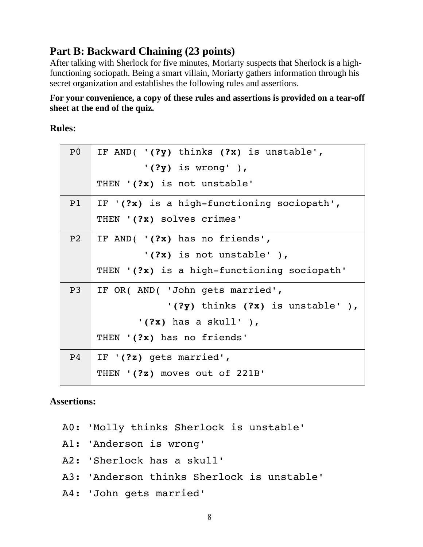## **Part B: Backward Chaining (23 points)**

After talking with Sherlock for five minutes, Moriarty suspects that Sherlock is a highfunctioning sociopath. Being a smart villain, Moriarty gathers information through his secret organization and establishes the following rules and assertions.

#### **For your convenience, a copy of these rules and assertions is provided on a tear-off sheet at the end of the quiz.**

#### **Rules:**

| P <sub>0</sub> | IF AND( $'(?y)$ thinks $(?x)$ is unstable',  |
|----------------|----------------------------------------------|
|                | $'(?y)$ is wrong'),                          |
|                | THEN '(?x) is not unstable'                  |
| P1             | IF $'(?x)$ is a high-functioning sociopath', |
|                | THEN '(?x) solves crimes'                    |
| P <sub>2</sub> | IF AND( $'(?x)$ has no friends',             |
|                | $'(?x)$ is not unstable'),                   |
|                | THEN '(?x) is a high-functioning sociopath'  |
| P <sub>3</sub> | IF OR( AND( 'John gets married',             |
|                | $'(?y)$ thinks $(?x)$ is unstable'),         |
|                | $'(?x)$ has a skull'),                       |
|                | THEN '(?x) has no friends'                   |
| P <sub>4</sub> | IF $'(?z)$ gets married',                    |
|                | THEN '(?z) moves out of 221B'                |

### **Assertions:**

- A0: 'Molly thinks Sherlock is unstable'
- A1: 'Anderson is wrong'
- A2: 'Sherlock has a skull'
- A3: 'Anderson thinks Sherlock is unstable'
- A4: 'John gets married'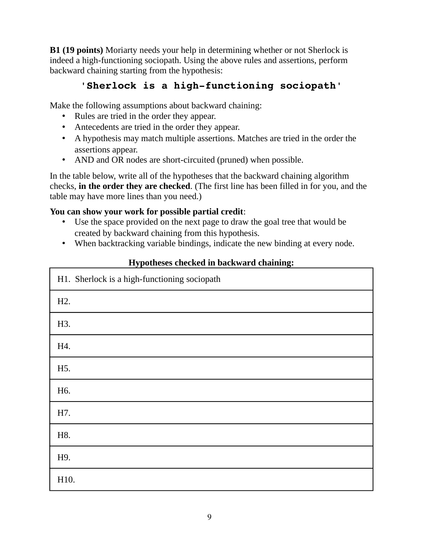**B1 (19 points)** Moriarty needs your help in determining whether or not Sherlock is indeed a high-functioning sociopath. Using the above rules and assertions, perform backward chaining starting from the hypothesis:

## 'Sherlock is a high-functioning sociopath'

Make the following assumptions about backward chaining:

- Rules are tried in the order they appear.
- Antecedents are tried in the order they appear.
- A hypothesis may match multiple assertions. Matches are tried in the order the assertions appear.
- AND and OR nodes are short-circuited (pruned) when possible.

In the table below, write all of the hypotheses that the backward chaining algorithm checks, **in the order they are checked**. (The first line has been filled in for you, and the table may have more lines than you need.)

#### **You can show your work for possible partial credit**:

- Use the space provided on the next page to draw the goal tree that would be created by backward chaining from this hypothesis.
- When backtracking variable bindings, indicate the new binding at every node.

| H1. Sherlock is a high-functioning sociopath |
|----------------------------------------------|
| H2.                                          |
| H3.                                          |
| H4.                                          |
| H5.                                          |
| H <sub>6</sub> .                             |
| H7.                                          |
| H8.                                          |
| H9.                                          |
| H10.                                         |

#### **Hypotheses checked in backward chaining:**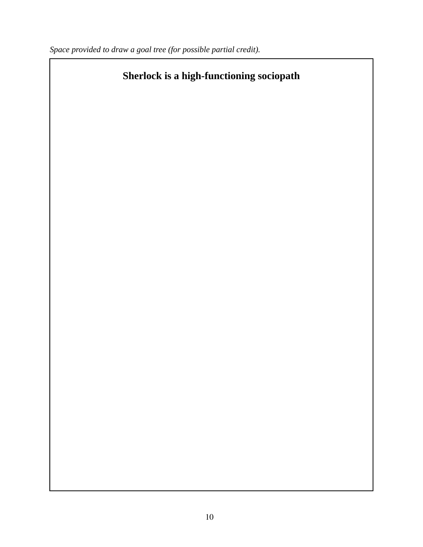*Space provided to draw a goal tree (for possible partial credit).*

## **Sherlock is a high-functioning sociopath**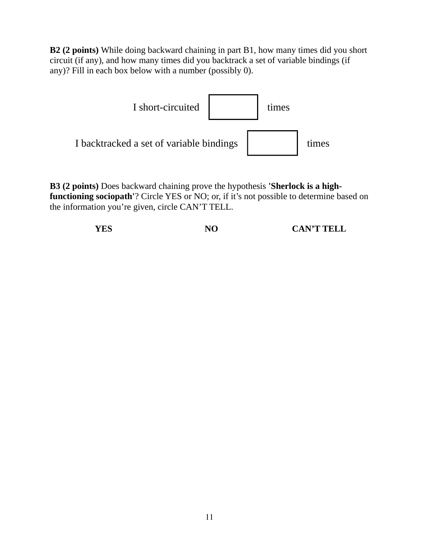**B2 (2 points)** While doing backward chaining in part B1, how many times did you short circuit (if any), and how many times did you backtrack a set of variable bindings (if any)? Fill in each box below with a number (possibly 0).



**B3 (2 points)** Does backward chaining prove the hypothesis **'Sherlock is a highfunctioning sociopath'**? Circle YES or NO; or, if it's not possible to determine based on the information you're given, circle CAN'T TELL.

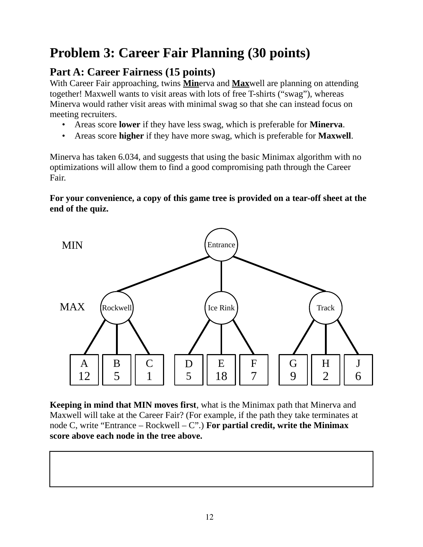## **Problem 3: Career Fair Planning (30 points)**

## **Part A: Career Fairness (15 points)**

With Career Fair approaching, twins **Min**erva and **Max**well are planning on attending together! Maxwell wants to visit areas with lots of free T-shirts ("swag"), whereas Minerva would rather visit areas with minimal swag so that she can instead focus on meeting recruiters.

- Areas score **lower** if they have less swag, which is preferable for **Minerva**.
- Areas score **higher** if they have more swag, which is preferable for **Maxwell**.

Minerva has taken 6.034, and suggests that using the basic Minimax algorithm with no optimizations will allow them to find a good compromising path through the Career Fair.

### **For your convenience, a copy of this game tree is provided on a tear-off sheet at the end of the quiz.**



**Keeping in mind that MIN moves first**, what is the Minimax path that Minerva and Maxwell will take at the Career Fair? (For example, if the path they take terminates at node C, write "Entrance – Rockwell – C".) **For partial credit, write the Minimax score above each node in the tree above.**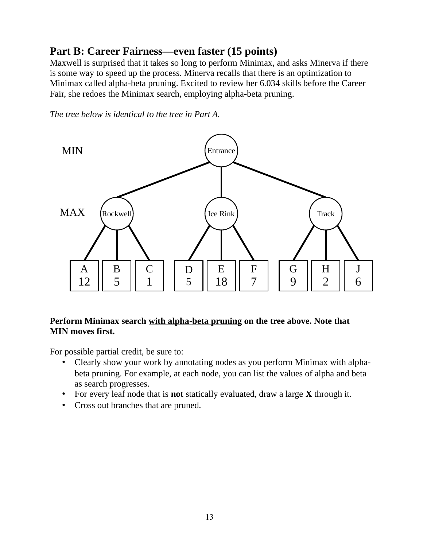## **Part B: Career Fairness—even faster (15 points)**

Maxwell is surprised that it takes so long to perform Minimax, and asks Minerva if there is some way to speed up the process. Minerva recalls that there is an optimization to Minimax called alpha-beta pruning. Excited to review her 6.034 skills before the Career Fair, she redoes the Minimax search, employing alpha-beta pruning.

*The tree below is identical to the tree in Part A.*



#### **Perform Minimax search with alpha-beta pruning on the tree above. Note that MIN moves first.**

For possible partial credit, be sure to:

- Clearly show your work by annotating nodes as you perform Minimax with alphabeta pruning. For example, at each node, you can list the values of alpha and beta as search progresses.
- For every leaf node that is **not** statically evaluated, draw a large **X** through it.
- Cross out branches that are pruned.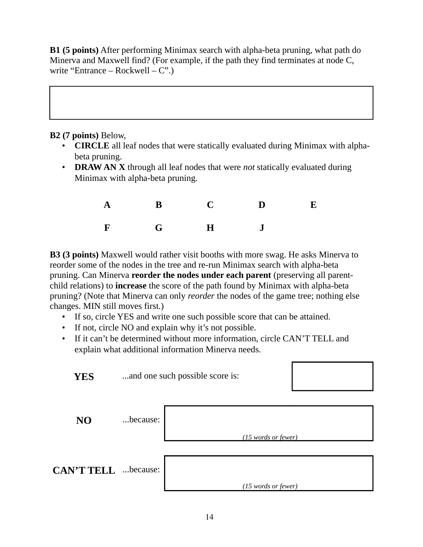**B1 (5 points)** After performing Minimax search with alpha-beta pruning, what path do Minerva and Maxwell find? (For example, if the path they find terminates at node C, write "Entrance – Rockwell –  $C$ ".)

**B2 (7 points)** Below,

- **CIRCLE** all leaf nodes that were statically evaluated during Minimax with alphabeta pruning.
- **DRAW AN X** through all leaf nodes that were *not* statically evaluated during Minimax with alpha-beta pruning.

|  | A B C D E |  |
|--|-----------|--|
|  | F G H J   |  |

**B3 (3 points)** Maxwell would rather visit booths with more swag. He asks Minerva to reorder some of the nodes in the tree and re-run Minimax search with alpha-beta pruning. Can Minerva **reorder the nodes under each parent** (preserving all parentchild relations) to **increase** the score of the path found by Minimax with alpha-beta pruning? (Note that Minerva can only *reorder* the nodes of the game tree; nothing else changes. MIN still moves first.)

- If so, circle YES and write one such possible score that can be attained.
- If not, circle NO and explain why it's not possible.
- If it can't be determined without more information, circle CAN'T TELL and explain what additional information Minerva needs.

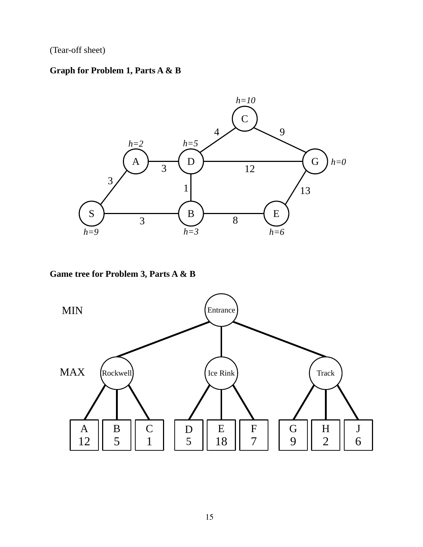(Tear-off sheet)

## **Graph for Problem 1, Parts A & B**



#### **Game tree for Problem 3, Parts A & B**